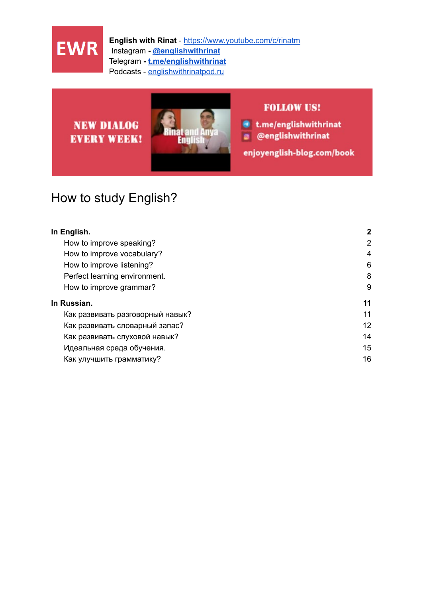

# **NEW DIALOG EVERY WEEK!**



#### **FOLLOW US!**

● t.me/englishwithrinat

**@** @englishwithrinat

enjoyenglish-blog.com/book

# How to study English?

| In English.                      | $\mathbf{2}$   |
|----------------------------------|----------------|
| How to improve speaking?         | $\overline{2}$ |
| How to improve vocabulary?       | $\overline{4}$ |
| How to improve listening?        | 6              |
| Perfect learning environment.    | 8              |
| How to improve grammar?          | 9              |
| In Russian.                      | 11             |
| Как развивать разговорный навык? | 11             |
| Как развивать словарный запас?   | 12             |
| Как развивать слуховой навык?    | 14             |
| Идеальная среда обучения.        | 15             |
| Как улучшить грамматику?         | 16             |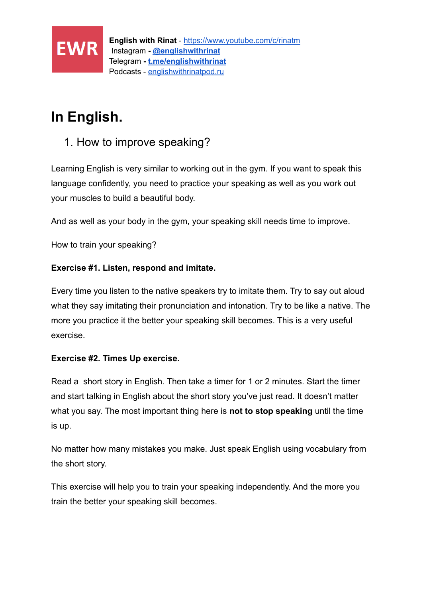

# <span id="page-1-0"></span>**In English.**

### <span id="page-1-1"></span>1. How to improve speaking?

Learning English is very similar to working out in the gym. If you want to speak this language confidently, you need to practice your speaking as well as you work out your muscles to build a beautiful body.

And as well as your body in the gym, your speaking skill needs time to improve.

How to train your speaking?

#### **Exercise #1. Listen, respond and imitate.**

Every time you listen to the native speakers try to imitate them. Try to say out aloud what they say imitating their pronunciation and intonation. Try to be like a native. The more you practice it the better your speaking skill becomes. This is a very useful exercise.

#### **Exercise #2. Times Up exercise.**

Read a short story in English. Then take a timer for 1 or 2 minutes. Start the timer and start talking in English about the short story you've just read. It doesn't matter what you say. The most important thing here is **not to stop speaking** until the time is up.

No matter how many mistakes you make. Just speak English using vocabulary from the short story.

This exercise will help you to train your speaking independently. And the more you train the better your speaking skill becomes.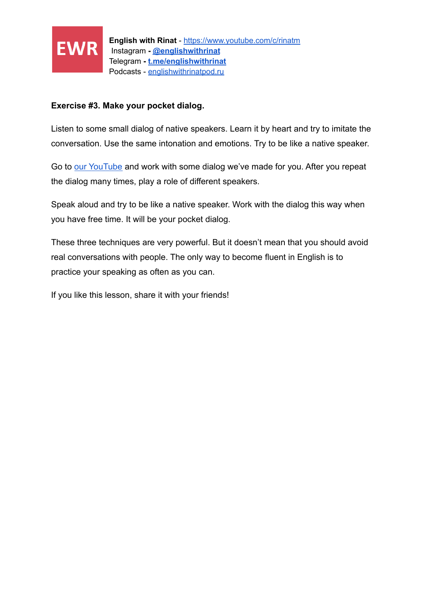

#### **Exercise #3. Make your pocket dialog.**

Listen to some small dialog of native speakers. Learn it by heart and try to imitate the conversation. Use the same intonation and emotions. Try to be like a native speaker.

Go to [our YouTube](https://www.youtube.com/channel/UCKRD1AcryBWspOXqhQgkJWA?sub_confirmation=1) and work with some dialog we've made for you. After you repeat the dialog many times, play a role of different speakers.

Speak aloud and try to be like a native speaker. Work with the dialog this way when you have free time. It will be your pocket dialog.

These three techniques are very powerful. But it doesn't mean that you should avoid real conversations with people. The only way to become fluent in English is to practice your speaking as often as you can.

If you like this lesson, share it with your friends!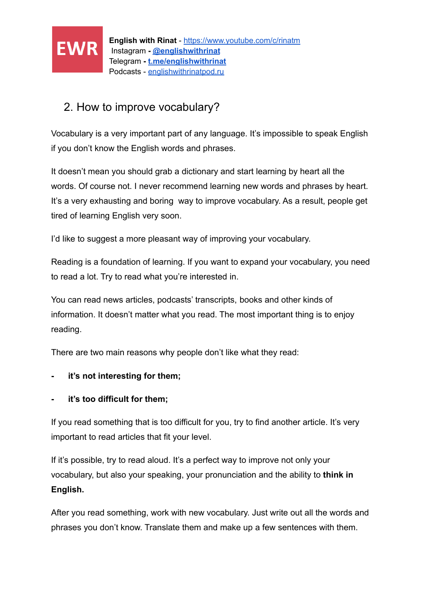

## <span id="page-3-0"></span>2. How to improve vocabulary?

Vocabulary is a very important part of any language. It's impossible to speak English if you don't know the English words and phrases.

It doesn't mean you should grab a dictionary and start learning by heart all the words. Of course not. I never recommend learning new words and phrases by heart. It's a very exhausting and boring way to improve vocabulary. As a result, people get tired of learning English very soon.

I'd like to suggest a more pleasant way of improving your vocabulary.

Reading is a foundation of learning. If you want to expand your vocabulary, you need to read a lot. Try to read what you're interested in.

You can read news articles, podcasts' transcripts, books and other kinds of information. It doesn't matter what you read. The most important thing is to enjoy reading.

There are two main reasons why people don't like what they read:

- **it's not interesting for them;**
- **it's too difficult for them;**

If you read something that is too difficult for you, try to find another article. It's very important to read articles that fit your level.

If it's possible, try to read aloud. It's a perfect way to improve not only your vocabulary, but also your speaking, your pronunciation and the ability to **think in English.**

After you read something, work with new vocabulary. Just write out all the words and phrases you don't know. Translate them and make up a few sentences with them.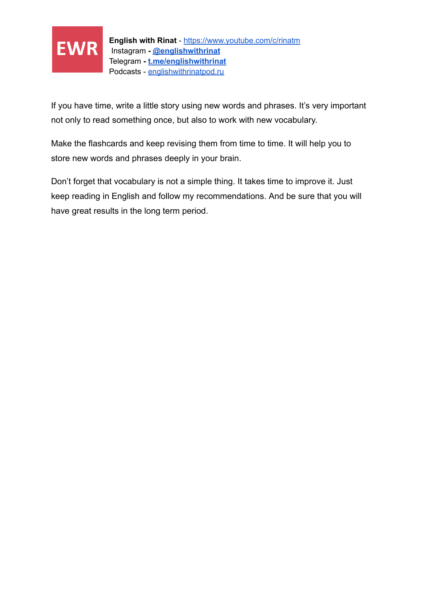

If you have time, write a little story using new words and phrases. It's very important not only to read something once, but also to work with new vocabulary.

Make the flashcards and keep revising them from time to time. It will help you to store new words and phrases deeply in your brain.

Don't forget that vocabulary is not a simple thing. It takes time to improve it. Just keep reading in English and follow my recommendations. And be sure that you will have great results in the long term period.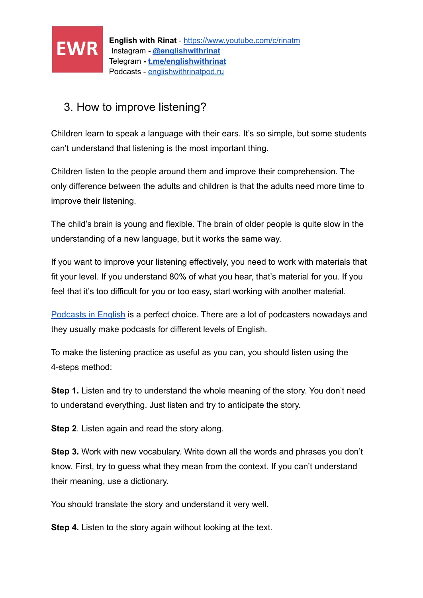

## <span id="page-5-0"></span>3. How to improve listening?

Children learn to speak a language with their ears. It's so simple, but some students can't understand that listening is the most important thing.

Children listen to the people around them and improve their comprehension. The only difference between the adults and children is that the adults need more time to improve their listening.

The child's brain is young and flexible. The brain of older people is quite slow in the understanding of a new language, but it works the same way.

If you want to improve your listening effectively, you need to work with materials that fit your level. If you understand 80% of what you hear, that's material for you. If you feel that it's too difficult for you or too easy, start working with another material.

[Podcasts in English](http://englishwithrinatpod.ru/) is a perfect choice. There are a lot of podcasters nowadays and they usually make podcasts for different levels of English.

To make the listening practice as useful as you can, you should listen using the 4-steps method:

**Step 1.** Listen and try to understand the whole meaning of the story. You don't need to understand everything. Just listen and try to anticipate the story.

**Step 2**. Listen again and read the story along.

**Step 3.** Work with new vocabulary. Write down all the words and phrases you don't know. First, try to guess what they mean from the context. If you can't understand their meaning, use a dictionary.

You should translate the story and understand it very well.

**Step 4.** Listen to the story again without looking at the text.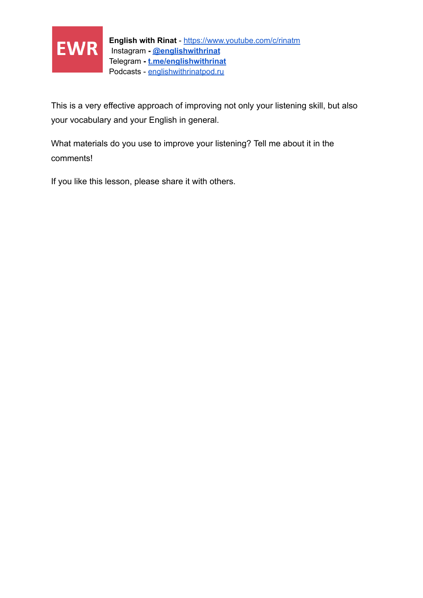

This is a very effective approach of improving not only your listening skill, but also your vocabulary and your English in general.

What materials do you use to improve your listening? Tell me about it in the comments!

If you like this lesson, please share it with others.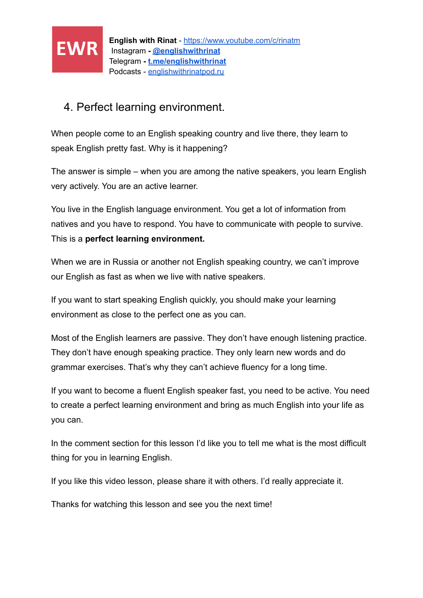

### <span id="page-7-0"></span>4. Perfect learning environment.

When people come to an English speaking country and live there, they learn to speak English pretty fast. Why is it happening?

The answer is simple – when you are among the native speakers, you learn English very actively. You are an active learner.

You live in the English language environment. You get a lot of information from natives and you have to respond. You have to communicate with people to survive. This is a **perfect learning environment.**

When we are in Russia or another not English speaking country, we can't improve our English as fast as when we live with native speakers.

If you want to start speaking English quickly, you should make your learning environment as close to the perfect one as you can.

Most of the English learners are passive. They don't have enough listening practice. They don't have enough speaking practice. They only learn new words and do grammar exercises. That's why they can't achieve fluency for a long time.

If you want to become a fluent English speaker fast, you need to be active. You need to create a perfect learning environment and bring as much English into your life as you can.

In the comment section for this lesson I'd like you to tell me what is the most difficult thing for you in learning English.

If you like this video lesson, please share it with others. I'd really appreciate it.

Thanks for watching this lesson and see you the next time!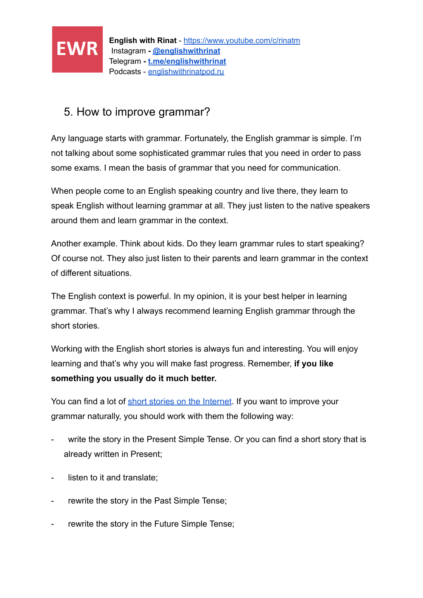

### <span id="page-8-0"></span>5. How to improve grammar?

Any language starts with grammar. Fortunately, the English grammar is simple. I'm not talking about some sophisticated grammar rules that you need in order to pass some exams. I mean the basis of grammar that you need for communication.

When people come to an English speaking country and live there, they learn to speak English without learning grammar at all. They just listen to the native speakers around them and learn grammar in the context.

Another example. Think about kids. Do they learn grammar rules to start speaking? Of course not. They also just listen to their parents and learn grammar in the context of different situations.

The English context is powerful. In my opinion, it is your best helper in learning grammar. That's why I always recommend learning English grammar through the short stories.

Working with the English short stories is always fun and interesting. You will enjoy learning and that's why you will make fast progress. Remember, **if you like something you usually do it much better.**

You can find a lot of [short stories on the Internet](https://enjoyenglish-blog.com/stories). If you want to improve your grammar naturally, you should work with them the following way:

- write the story in the Present Simple Tense. Or you can find a short story that is already written in Present;
- listen to it and translate;
- rewrite the story in the Past Simple Tense;
- rewrite the story in the Future Simple Tense;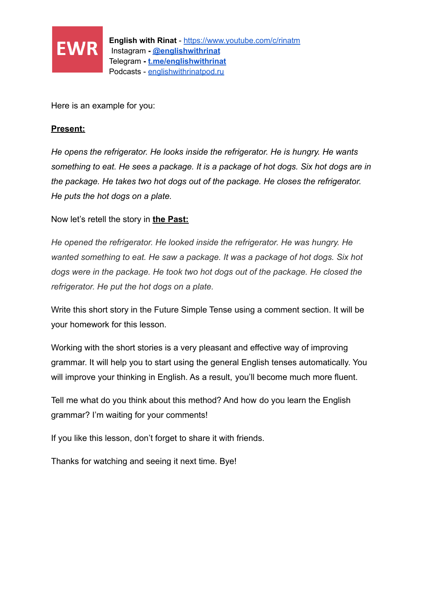

Here is an example for you:

#### **Present:**

*He opens the refrigerator. He looks inside the refrigerator. He is hungry. He wants something to eat. He sees a package. It is a package of hot dogs. Six hot dogs are in the package. He takes two hot dogs out of the package. He closes the refrigerator. He puts the hot dogs on a plate.*

Now let's retell the story in **the Past:**

*He opened the refrigerator. He looked inside the refrigerator. He was hungry. He wanted something to eat. He saw a package. It was a package of hot dogs. Six hot dogs were in the package. He took two hot dogs out of the package. He closed the refrigerator. He put the hot dogs on a plate.*

Write this short story in the Future Simple Tense using a comment section. It will be your homework for this lesson.

Working with the short stories is a very pleasant and effective way of improving grammar. It will help you to start using the general English tenses automatically. You will improve your thinking in English. As a result, you'll become much more fluent.

Tell me what do you think about this method? And how do you learn the English grammar? I'm waiting for your comments!

If you like this lesson, don't forget to share it with friends.

Thanks for watching and seeing it next time. Bye!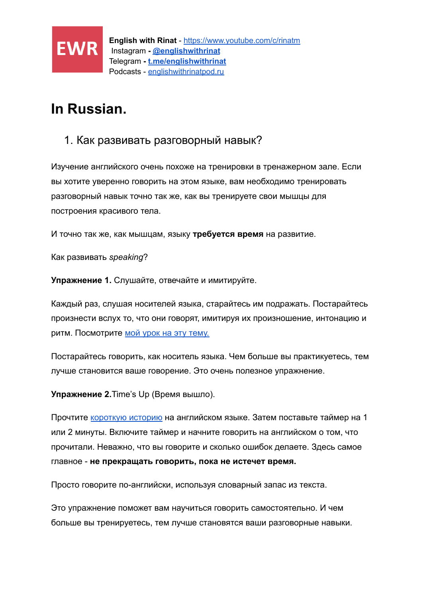

# <span id="page-10-0"></span>**In Russian.**

### <span id="page-10-1"></span>1. Как развивать разговорный навык?

Изучение английского очень похоже на тренировки в тренажерном зале. Если вы хотите уверенно говорить на этом языке, вам необходимо тренировать разговорный навык точно так же, как вы тренируете свои мышцы для построения красивого тела.

И точно так же, как мышцам, языку **требуется время** на развитие.

Как развивать *speaking*?

**Упражнение 1.** Слушайте, отвечайте и имитируйте.

Каждый раз, слушая носителей языка, старайтесь им подражать. Постарайтесь произнести вслух то, что они говорят, имитируя их произношение, интонацию и ритм. Посмотрите [мой урок на эту тему.](https://www.youtube.com/watch?v=zcUeW9RnTLo&t=1s&ab_channel=EnglishwithRinat)

Постарайтесь говорить, как носитель языка. Чем больше вы практикуетесь, тем лучше становится ваше говорение. Это очень полезное упражнение.

**Упражнение 2.**Time's Up (Время вышло).

Прочтите [короткую историю](https://enjoyenglish-blog.com/stories) на английском языке. Затем поставьте таймер на 1 или 2 минуты. Включите таймер и начните говорить на английском о том, что прочитали. Неважно, что вы говорите и сколько ошибок делаете. Здесь самое главное - **не прекращать говорить, пока не истечет время.**

Просто говорите по-английски, используя словарный запас из текста.

Это упражнение поможет вам научиться говорить самостоятельно. И чем больше вы тренируетесь, тем лучше становятся ваши разговорные навыки.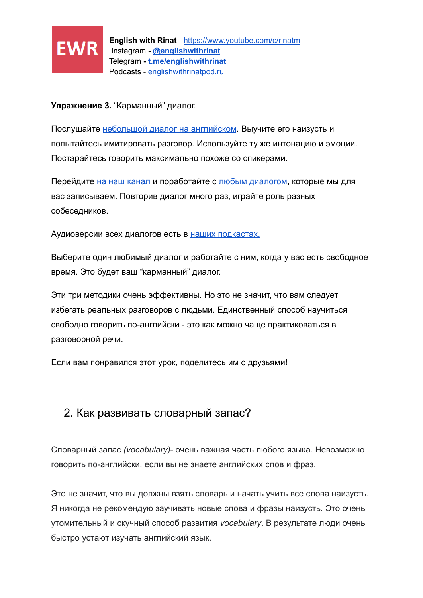

**Упражнение 3.** "Карманный" диалог.

Послушайте [небольшой диалог на английском](https://www.youtube.com/watch?v=W4F9-YGiFgw&ab_channel=EnglishwithRinat). Выучите его наизусть и попытайтесь имитировать разговор. Используйте ту же интонацию и эмоции. Постарайтесь говорить максимально похоже со спикерами.

Перейдите [на наш канал](https://www.youtube.com/channel/UCKRD1AcryBWspOXqhQgkJWA?sub_confirmation=1) и поработайте с [любым диалогом,](https://youtube.com/playlist?list=PLTp8EeI4lDoIr6rGGNb8CT3ek-6xCYlPz) которые мы для вас записываем. Повторив диалог много раз, играйте роль разных собеседников.

Аудиоверсии всех диалогов есть в [наших подкастах.](http://englishwithrinatpod.ru/)

Выберите один любимый диалог и работайте с ним, когда у вас есть свободное время. Это будет ваш "карманный" диалог.

Эти три методики очень эффективны. Но это не значит, что вам следует избегать реальных разговоров с людьми. Единственный способ научиться свободно говорить по-английски - это как можно чаще практиковаться в разговорной речи.

Если вам понравился этот урок, поделитесь им с друзьями!

### <span id="page-11-0"></span>2. Как развивать словарный запас?

Словарный запас *(vocabulary)*- очень важная часть любого языка. Невозможно говорить по-английски, если вы не знаете английских слов и фраз.

Это не значит, что вы должны взять словарь и начать учить все слова наизусть. Я никогда не рекомендую заучивать новые слова и фразы наизусть. Это очень утомительный и скучный способ развития *vocabulary*. В результате люди очень быстро устают изучать английский язык.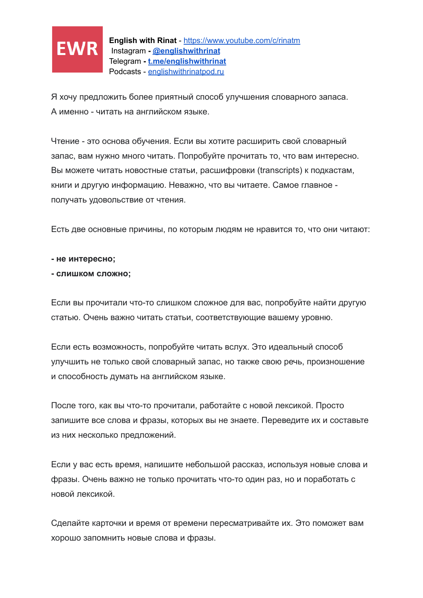

Я хочу предложить более приятный способ улучшения словарного запаса. А именно - читать на английском языке.

Чтение - это основа обучения. Если вы хотите расширить свой словарный запас, вам нужно много читать. Попробуйте прочитать то, что вам интересно. Вы можете читать новостные статьи, расшифровки (transcripts) к подкастам, книги и другую информацию. Неважно, что вы читаете. Самое главное получать удовольствие от чтения.

Есть две основные причины, по которым людям не нравится то, что они читают:

**- не интересно;**

#### **- слишком сложно;**

Если вы прочитали что-то слишком сложное для вас, попробуйте найти другую статью. Очень важно читать статьи, соответствующие вашему уровню.

Если есть возможность, попробуйте читать вслух. Это идеальный способ улучшить не только свой словарный запас, но также свою речь, произношение и способность думать на английском языке.

После того, как вы что-то прочитали, работайте с новой лексикой. Просто запишите все слова и фразы, которых вы не знаете. Переведите их и составьте из них несколько предложений.

Если у вас есть время, напишите небольшой рассказ, используя новые слова и фразы. Очень важно не только прочитать что-то один раз, но и поработать с новой лексикой.

Сделайте карточки и время от времени пересматривайте их. Это поможет вам хорошо запомнить новые слова и фразы.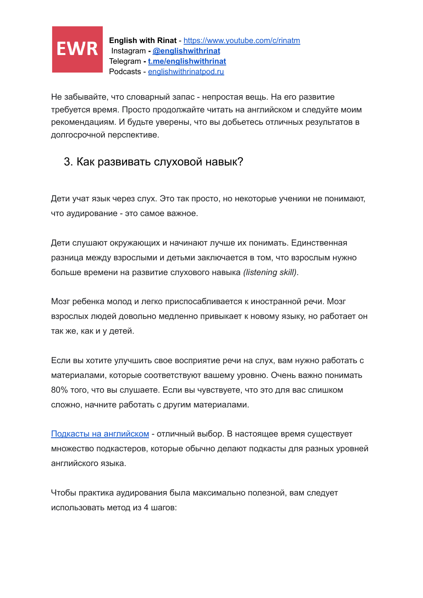

Не забывайте, что словарный запас - непростая вещь. На его развитие требуется время. Просто продолжайте читать на английском и следуйте моим рекомендациям. И будьте уверены, что вы добьетесь отличных результатов в долгосрочной перспективе.

## <span id="page-13-0"></span>3. Как развивать слуховой навык?

Дети учат язык через слух. Это так просто, но некоторые ученики не понимают, что аудирование - это самое важное.

Дети слушают окружающих и начинают лучше их понимать. Единственная разница между взрослыми и детьми заключается в том, что взрослым нужно больше времени на развитие слухового навыка *(listening skill)*.

Мозг ребенка молод и легко приспосабливается к иностранной речи. Мозг взрослых людей довольно медленно привыкает к новому языку, но работает он так же, как и у детей.

Если вы хотите улучшить свое восприятие речи на слух, вам нужно работать с материалами, которые соответствуют вашему уровню. Очень важно понимать 80% того, что вы слушаете. Если вы чувствуете, что это для вас слишком сложно, начните работать с другим материалами.

[Подкасты на английском](http://englishwithrinatpod.ru/) - отличный выбор. В настоящее время существует множество подкастеров, которые обычно делают подкасты для разных уровней английского языка.

Чтобы практика аудирования была максимально полезной, вам следует использовать метод из 4 шагов: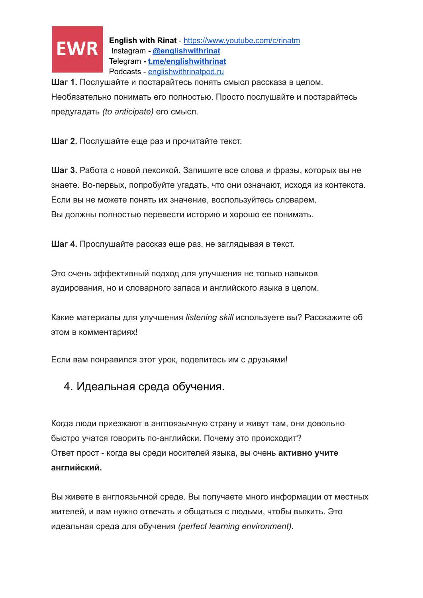

**Шаг 1.** Послушайте и постарайтесь понять смысл рассказа в целом. Необязательно понимать его полностью. Просто послушайте и постарайтесь предугадать *(to anticipate)* его смысл.

**Шаг 2.** Послушайте еще раз и прочитайте текст.

**Шаг 3.** Работа с новой лексикой. Запишите все слова и фразы, которых вы не знаете. Во-первых, попробуйте угадать, что они означают, исходя из контекста. Если вы не можете понять их значение, воспользуйтесь словарем. Вы должны полностью перевести историю и хорошо ее понимать.

**Шаг 4.** Прослушайте рассказ еще раз, не заглядывая в текст.

Это очень эффективный подход для улучшения не только навыков аудирования, но и словарного запаса и английского языка в целом.

Какие материалы для улучшения *listening skill* используете вы? Расскажите об этом в комментариях!

<span id="page-14-0"></span>Если вам понравился этот урок, поделитесь им с друзьями!

### 4. Идеальная среда обучения.

Когда люди приезжают в англоязычную страну и живут там, они довольно быстро учатся говорить по-английски. Почему это происходит? Ответ прост - когда вы среди носителей языка, вы очень **активно учите английский.**

Вы живете в англоязычной среде. Вы получаете много информации от местных жителей, и вам нужно отвечать и общаться с людьми, чтобы выжить. Это идеальная среда для обучения *(perfect learning environment).*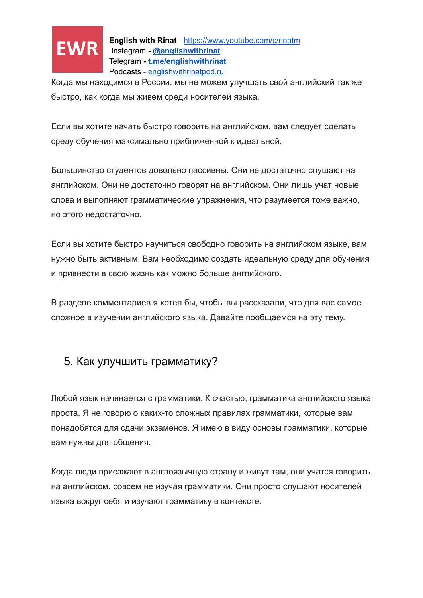

Когда мы находимся в России, мы не можем улучшать свой английский так же быстро, как когда мы живем среди носителей языка.

Если вы хотите начать быстро говорить на английском, вам следует сделать среду обучения максимально приближенной к идеальной.

Большинство студентов довольно пассивны. Они не достаточно слушают на английском. Они не достаточно говорят на английском. Они лишь учат новые слова и выполняют грамматические упражнения, что разумеется тоже важно, но этого недостаточно.

Если вы хотите быстро научиться свободно говорить на английском языке, вам нужно быть активным. Вам необходимо создать идеальную среду для обучения и привнести в свою жизнь как можно больше английского.

В разделе комментариев я хотел бы, чтобы вы рассказали, что для вас самое сложное в изучении английского языка. Давайте пообщаемся на эту тему.

### <span id="page-15-0"></span>5. Как улучшить грамматику?

Любой язык начинается с грамматики. К счастью, грамматика английского языка проста. Я не говорю о каких-то сложных правилах грамматики, которые вам понадобятся для сдачи экзаменов. Я имею в виду основы грамматики, которые вам нужны для общения.

Когда люди приезжают в англоязычную страну и живут там, они учатся говорить на английском, совсем не изучая грамматики. Они просто слушают носителей языка вокруг себя и изучают грамматику в контексте.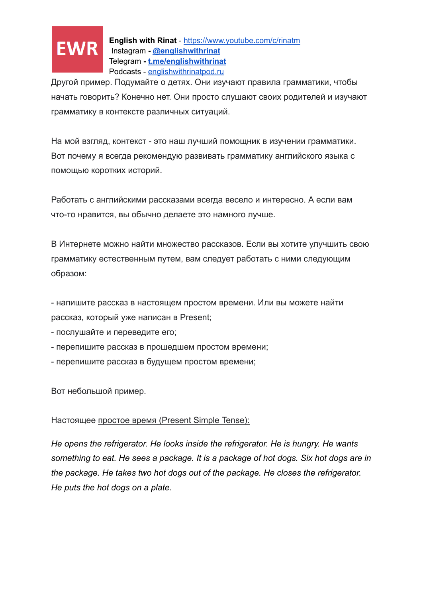

Другой пример. Подумайте о детях. Они изучают правила грамматики, чтобы начать говорить? Конечно нет. Они просто слушают своих родителей и изучают грамматику в контексте различных ситуаций.

На мой взгляд, контекст - это наш лучший помощник в изучении грамматики. Вот почему я всегда рекомендую развивать грамматику английского языка с помощью коротких историй.

Работать с английскими рассказами всегда весело и интересно. А если вам что-то нравится, вы обычно делаете это намного лучше.

В Интернете можно найти множество рассказов. Если вы хотите улучшить свою грамматику естественным путем, вам следует работать с ними следующим образом:

- напишите рассказ в настоящем простом времени. Или вы можете найти рассказ, который уже написан в Present;

- послушайте и переведите его;

- перепишите рассказ в прошедшем простом времени;

- перепишите рассказ в будущем простом времени;

Вот небольшой пример.

#### Настоящее простое время (Present Simple Tense):

*He opens the refrigerator. He looks inside the refrigerator. He is hungry. He wants something to eat. He sees a package. It is a package of hot dogs. Six hot dogs are in the package. He takes two hot dogs out of the package. He closes the refrigerator. He puts the hot dogs on a plate.*